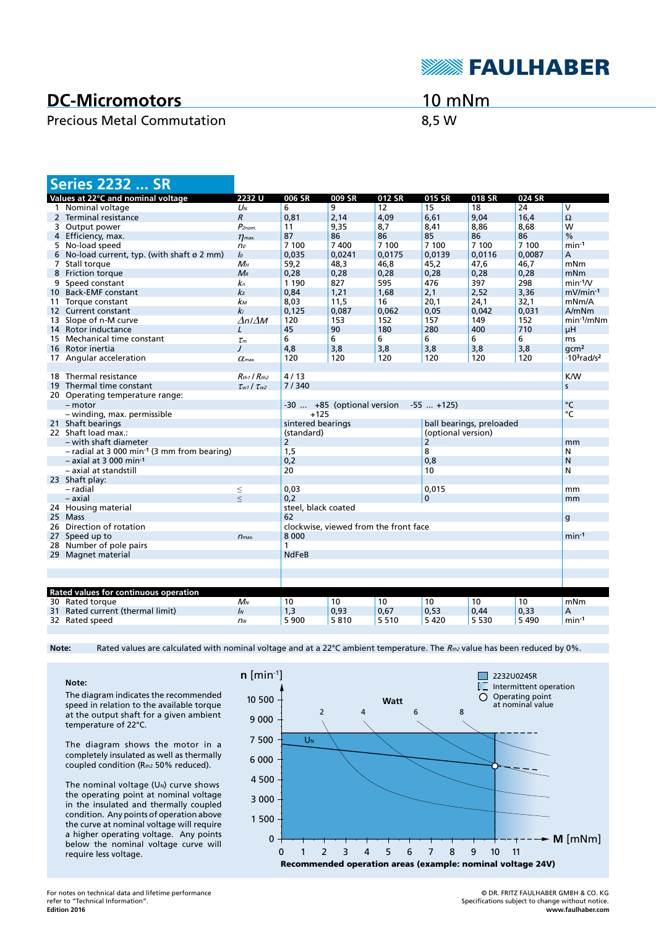

## **DC-Micromotors**

### Precious Metal Commutation 6,5 W

10 mNm

|    | <b>Series 2232  SR</b>                                    |                           |                                               |                            |        |                    |         |            |                                            |
|----|-----------------------------------------------------------|---------------------------|-----------------------------------------------|----------------------------|--------|--------------------|---------|------------|--------------------------------------------|
|    | Values at 22°C and nominal voltage                        | 2232U                     | 006 SR                                        | 009 SR                     | 012 SR | 015 SR             | 018 SR  | 024 SR     |                                            |
|    | 1 Nominal voltage                                         | $U_N$                     | 6                                             | 9                          | 12     | 15                 | 18      | 24         | $\overline{\mathsf{v}}$                    |
|    | 2 Terminal resistance                                     | $\overline{R}$            | 0,81                                          | 2,14                       | 4,09   | 6,61               | 9,04    | 16.4       | $\Omega$                                   |
|    | 3 Output power                                            | $P_{2nom.}$               | 11                                            | 9,35                       | 8,7    | 8,41               | 8,86    | 8,68       | W                                          |
|    | 4 Efficiency, max.                                        | $\eta_{\text{max}}$       | 87                                            | 86                         | 86     | 85                 | 86      | 86         | $\frac{0}{0}$                              |
|    | 5 No-load speed                                           | n <sub>o</sub>            | 7 100                                         | 7400                       | 7 100  | 7 100              | 7 100   | 7 100      | $min-1$                                    |
| 6  | No-load current, typ. (with shaft $\varnothing$ 2 mm)     | $\mathcal{L}$             | 0,035                                         | 0.0241                     | 0.0175 | 0.0139             | 0.0116  | 0.0087     | A                                          |
|    | 7 Stall torque                                            | $M_H$                     | 59,2                                          | 48,3                       | 46,8   | 45,2               | 47,6    | 46,7       | mNm                                        |
|    | 8 Friction torque                                         | $M_{R}$                   | 0,28                                          | 0,28                       | 0,28   | 0,28               | 0,28    | 0,28       | mNm                                        |
|    | 9 Speed constant                                          | $\mathbf{k}_n$            | 1 1 9 0                                       | 827                        | 595    | 476                | 397     | 298        | $min-1/V$                                  |
|    | 10 Back-EMF constant                                      | kЕ                        | 0,84                                          | 1,21                       | 1,68   | 2,1                | 2,52    | 3,36       | $mV/min-1$                                 |
|    | 11 Torque constant                                        | kм                        | 8,03                                          | 11,5                       | 16     | 20,1               | 24,1    | 32,1       | mNm/A                                      |
|    | 12 Current constant                                       | k <sub>l</sub>            | 0,125                                         | 0,087                      | 0,062  | 0,05               | 0,042   | 0,031      | A/mNm                                      |
|    | 13 Slope of n-M curve                                     | $\Delta n / \Delta M$     | 120                                           | 153                        | 152    | 157                | 149     | 152        | $min-1/mNm$                                |
|    | 14 Rotor inductance                                       | $\prime$                  | 45                                            | 90                         | 180    | 280                | 400     | 710        | μH                                         |
| 15 | Mechanical time constant                                  | $\tau_m$                  | 6                                             | 6                          | 6      | 6                  | 6       | 6          | <sub>ms</sub>                              |
|    | 16 Rotor inertia                                          | $\prime$                  | 4,8                                           | 3,8                        | 3,8    | 3,8                | 3,8     | 3,8        | qcm <sup>2</sup>                           |
|    | 17 Angular acceleration                                   | $\alpha$ <sub>max</sub> . | 120                                           | 120                        | 120    | 120                | 120     | 120        | $\cdot$ 10 <sup>3</sup> rad/s <sup>2</sup> |
|    |                                                           |                           |                                               |                            |        |                    |         |            |                                            |
|    | 18 Thermal resistance                                     |                           | 4/13<br>$R_{th1}$ / $R_{th2}$                 |                            |        |                    |         | <b>K/W</b> |                                            |
|    | 19 Thermal time constant                                  | $\tau_{w1}$ / $\tau_{w2}$ | 7/340                                         |                            |        |                    |         |            | s.                                         |
|    | 20 Operating temperature range:                           |                           |                                               |                            |        |                    |         |            |                                            |
|    | $-$ motor                                                 |                           |                                               | -30  +85 (optional version |        | $-55$ $+125$       |         |            | °C                                         |
|    | - winding, max. permissible                               |                           | $+125$                                        |                            |        |                    |         |            | °C                                         |
|    | 21 Shaft bearings                                         |                           | sintered bearings<br>ball bearings, preloaded |                            |        |                    |         |            |                                            |
|    | 22 Shaft load max.:                                       |                           | (standard)                                    |                            |        | (optional version) |         |            |                                            |
|    | - with shaft diameter                                     |                           | $\overline{2}$                                |                            |        | 2                  |         |            | mm                                         |
|    | $-$ radial at 3 000 min <sup>-1</sup> (3 mm from bearing) |                           | 1,5                                           |                            |        | 8                  |         |            | N                                          |
|    | $-$ axial at 3 000 min <sup>-1</sup>                      |                           | 0,2                                           |                            |        | 0,8                |         |            | N                                          |
|    | - axial at standstill                                     |                           | 20                                            |                            |        | 10                 |         |            | N                                          |
|    | 23 Shaft play:                                            |                           |                                               |                            |        |                    |         |            |                                            |
|    | - radial                                                  | $\leq$                    | 0.03                                          |                            |        | 0.015              |         |            | mm                                         |
|    | – axial                                                   | $\,<$                     | 0,2                                           |                            |        | $\mathbf{0}$       |         |            | mm                                         |
|    | 24 Housing material                                       |                           | steel, black coated                           |                            |        |                    |         |            |                                            |
|    | 25 Mass<br>26 Direction of rotation                       |                           | 62<br>g                                       |                            |        |                    |         |            |                                            |
|    |                                                           |                           | clockwise, viewed from the front face         |                            |        |                    |         |            |                                            |
|    | 27 Speed up to                                            | 8 0 0 0<br>$n_{max.}$     |                                               |                            |        |                    |         | $min-1$    |                                            |
| 28 | Number of pole pairs                                      |                           | 1                                             |                            |        |                    |         |            |                                            |
|    | 29 Magnet material                                        |                           | <b>NdFeB</b>                                  |                            |        |                    |         |            |                                            |
|    |                                                           |                           |                                               |                            |        |                    |         |            |                                            |
|    |                                                           |                           |                                               |                            |        |                    |         |            |                                            |
|    | Rated values for continuous operation                     |                           |                                               |                            |        |                    |         |            |                                            |
|    | 30 Rated torque                                           | $M_N$                     | 10                                            | 10                         | 10     | 10                 | 10      | 10         | mNm                                        |
|    | 31 Rated current (thermal limit)                          | $\mathbf{I}$              | 1,3                                           | 0,93                       | 0,67   | 0,53               | 0,44    | 0,33       | Α                                          |
|    | 32 Rated speed                                            | n <sub>N</sub>            | 5 9 0 0                                       | 5810                       | 5510   | 5 4 2 0            | 5 5 3 0 | 5 4 9 0    | $min-1$                                    |
|    |                                                           |                           |                                               |                            |        |                    |         |            |                                            |

Note: Rated values are calculated with nominal voltage and at a 22°C ambient temperature. The R<sub>th2</sub> value has been reduced by 0%.

**Note:** The diagram indicates the recommended speed in relation to the available torque at the output shaft for a given ambient temperature of 22°C.

The diagram shows the motor in a completely insulated as well as thermally coupled condition (Rth2 50% reduced).

The nominal voltage  $(U<sub>N</sub>)$  curve shows the operating point at nominal voltage in the insulated and thermally coupled condition. Any points of operation above the curve at nominal voltage will require a higher operating voltage. Any points below the nominal voltage curve will require less voltage.